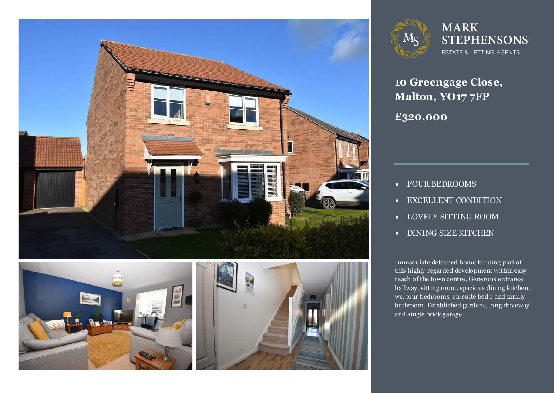





**MARK STEPHENSONS** ESTATE & LETTING AGENTS

**10 Greengage Close, Malton, YO17 7FP £320,000**

- FOUR BEDROOMS
- EXCELLENT CONDITION
- LOVELY SITTING ROOM
- DINING SIZE KITCHEN

Immaculate detached home forming part of<br>this highly regarded development within easy reach of the town centre. Generous entrance<br>hallway. sitting room. spacious dining kitche Immaculate detached home forming part of hallway, sitting room, spacious dining kitchen, wc, four bedrooms, en-suite bed 1 and family bathroom. Established gardens, long driveway and single brick garage.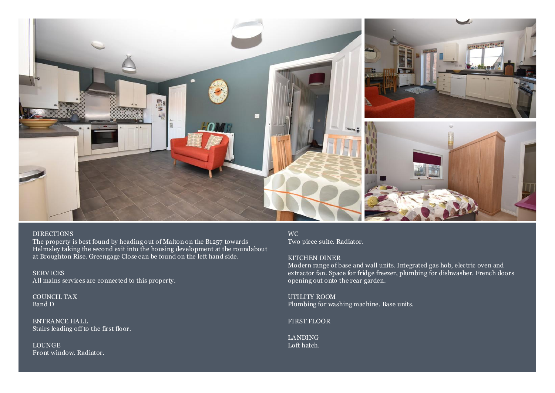

### DIRECTIONS

The property is best found by heading out of Malton on the B1257 towards Helmsley taking the second exit into the housing development at the roundabout at Broughton Rise. Greengage Close can be found on the left hand side.

**SERVICES** All mains services are connected to this property.

COUNCIL TAX Band D

ENTRANCE HALL Stairs leading off to the first floor.

LOUNGE Front window. Radiator.

WC Two piece suite. Radiator.

### KITCHEN DINER

Modern range of base and wall units. Integrated gas hob, electric oven and extractor fan. Space for fridge freezer, plumbing for dishwasher. French doors opening out onto the rear garden.

UTILITY ROOM Plumbing for washing machine. Base units.

FIRST FLOOR

LANDING Loft hatch.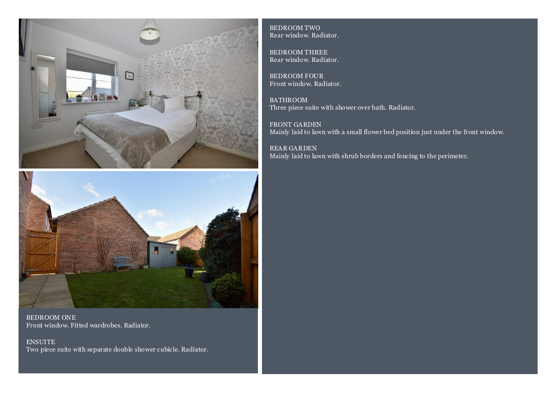



BEDROOM ONE Front window. Fitted wardrobes. Radiator.

ENSUITE Two piece suite with separate double shower cubicle. Radiator. BEDROOM TWO Rear window. Radiator.

BEDROOM THREE Rear window. Radiator.

BEDROOM FOUR Front window. Radiator.

**BATHROOM** Three piece suite with shower over bath. Radiator.

FRONT GARDEN Mainly laid to lawn with a small flower bed position just under the front window.

REAR GARDEN Mainly laid to lawn with shrub borders and fencing to the perimeter.